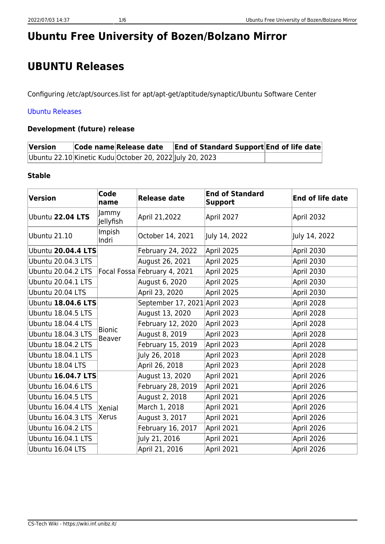# **Ubuntu Free University of Bozen/Bolzano Mirror**

# **UBUNTU Releases**

Configuring /etc/apt/sources.list for apt/apt-get/aptitude/synaptic/Ubuntu Software Center

#### [Ubuntu Releases](https://wiki.ubuntu.com/Releases)

#### **Development (future) release**

| Version | Code name Release date                                   | <b>End of Standard Support End of life date</b> |  |
|---------|----------------------------------------------------------|-------------------------------------------------|--|
|         | Ubuntu 22.10 Kinetic Kudu October 20, 2022 July 20, 2023 |                                                 |  |

#### **Stable**

| <b>Version</b>            | Code<br>name            | <b>Release date</b>           | <b>End of Standard</b><br><b>Support</b> | <b>End of life date</b> |
|---------------------------|-------------------------|-------------------------------|------------------------------------------|-------------------------|
| Ubuntu 22.04 LTS          | Jammy<br>Jellyfish      | April 21,2022                 | April 2027                               | April 2032              |
| <b>Ubuntu 21.10</b>       | Impish<br>Indri         | October 14, 2021              | July 14, 2022                            | July 14, 2022           |
| Ubuntu 20.04.4 LTS        |                         | February 24, 2022             | April 2025                               | April 2030              |
| <b>Ubuntu 20.04.3 LTS</b> |                         | August 26, 2021               | April 2025                               | April 2030              |
| <b>Ubuntu 20.04.2 LTS</b> |                         | Focal Fossa February 4, 2021  | April 2025                               | April 2030              |
| Ubuntu 20.04.1 LTS        |                         | August 6, 2020                | April 2025                               | April 2030              |
| Ubuntu 20.04 LTS          |                         | April 23, 2020                | April 2025                               | April 2030              |
| <b>Ubuntu 18.04.6 LTS</b> |                         | September 17, 2021 April 2023 |                                          | April 2028              |
| Ubuntu 18.04.5 LTS        |                         | August 13, 2020               | April 2023                               | April 2028              |
| Ubuntu 18.04.4 LTS        |                         | February 12, 2020             | April 2023                               | April 2028              |
| <b>Ubuntu 18.04.3 LTS</b> | <b>Bionic</b><br>Beaver | August 8, 2019                | April 2023                               | April 2028              |
| Ubuntu 18.04.2 LTS        |                         | February 15, 2019             | April 2023                               | April 2028              |
| Ubuntu 18.04.1 LTS        |                         | July 26, 2018                 | April 2023                               | April 2028              |
| Ubuntu 18.04 LTS          |                         | April 26, 2018                | April 2023                               | April 2028              |
| Ubuntu 16.04.7 LTS        |                         | August 13, 2020               | April 2021                               | April 2026              |
| Ubuntu 16.04.6 LTS        |                         | February 28, 2019             | April 2021                               | April 2026              |
| <b>Ubuntu 16.04.5 LTS</b> |                         | August 2, 2018                | April 2021                               | April 2026              |
| Ubuntu 16.04.4 LTS        | Xenial                  | March 1, 2018                 | April 2021                               | April 2026              |
| Ubuntu 16.04.3 LTS        | Xerus                   | August 3, 2017                | April 2021                               | April 2026              |
| Ubuntu 16.04.2 LTS        |                         | February 16, 2017             | April 2021                               | April 2026              |
| Ubuntu 16.04.1 LTS        |                         | July 21, 2016                 | April 2021                               | April 2026              |
| Ubuntu 16.04 LTS          |                         | April 21, 2016                | April 2021                               | April 2026              |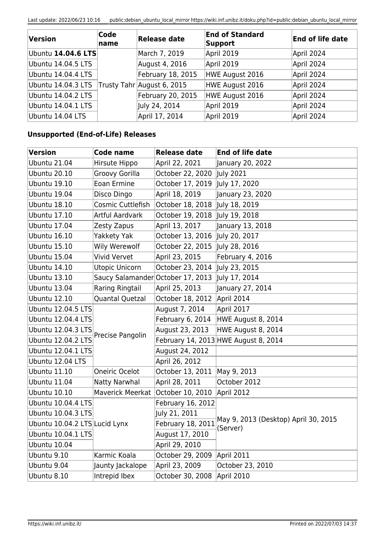Last update: 2022/06/23 10:16 public:debian\_ubuntu\_local\_mirror https://wiki.inf.unibz.it/doku.php?id=public:debian\_ubuntu\_local\_mirror

| Version            | Code<br>name | Release date               | <b>End of Standard</b><br>Support | End of life date |
|--------------------|--------------|----------------------------|-----------------------------------|------------------|
| Ubuntu 14.04.6 LTS |              | March 7, 2019              | April 2019                        | April 2024       |
| Ubuntu 14.04.5 LTS |              | August 4, 2016             | April 2019                        | April 2024       |
| Ubuntu 14.04.4 LTS |              | February 18, 2015          | HWE August 2016                   | April 2024       |
| Ubuntu 14.04.3 LTS |              | Trusty Tahr August 6, 2015 | HWE August 2016                   | April 2024       |
| Ubuntu 14.04.2 LTS |              | February 20, 2015          | HWE August 2016                   | April 2024       |
| Ubuntu 14.04.1 LTS |              | July 24, 2014              | April 2019                        | April 2024       |
| Ubuntu 14.04 LTS   |              | April 17, 2014             | April 2019                        | April 2024       |

### **Unsupported (End-of-Life) Releases**

| Version                       | <b>Code name</b>                  | <b>Release date</b> | <b>End of life date</b>                          |
|-------------------------------|-----------------------------------|---------------------|--------------------------------------------------|
| Ubuntu 21.04                  | Hirsute Hippo                     | April 22, 2021      | January 20, 2022                                 |
| Ubuntu 20.10                  | Groovy Gorilla                    | October 22, 2020    | July 2021                                        |
| Ubuntu 19.10                  | Eoan Ermine                       | October 17, 2019    | July 17, 2020                                    |
| Ubuntu 19.04                  | Disco Dingo                       | April 18, 2019      | January 23, 2020                                 |
| Ubuntu 18.10                  | Cosmic Cuttlefish                 | October 18, 2018    | July 18, 2019                                    |
| <b>Ubuntu 17.10</b>           | <b>Artful Aardvark</b>            | October 19, 2018    | July 19, 2018                                    |
| Ubuntu 17.04                  | Zesty Zapus                       | April 13, 2017      | January 13, 2018                                 |
| Ubuntu 16.10                  | Yakkety Yak                       | October 13, 2016    | July 20, 2017                                    |
| Ubuntu 15.10                  | Wily Werewolf                     | October 22, 2015    | July 28, 2016                                    |
| Ubuntu 15.04                  | <b>Vivid Vervet</b>               | April 23, 2015      | February 4, 2016                                 |
| Ubuntu 14.10                  | <b>Utopic Unicorn</b>             | October 23, 2014    | July 23, 2015                                    |
| <b>Ubuntu 13.10</b>           | Saucy Salamander October 17, 2013 |                     | July 17, 2014                                    |
| Ubuntu 13.04                  | Raring Ringtail                   | April 25, 2013      | January 27, 2014                                 |
| Ubuntu 12.10                  | Quantal Quetzal                   | October 18, 2012    | April 2014                                       |
| Ubuntu 12.04.5 LTS            |                                   | August 7, 2014      | April 2017                                       |
| <b>Ubuntu 12.04.4 LTS</b>     |                                   | February 6, 2014    | HWE August 8, 2014                               |
| Ubuntu 12.04.3 LTS            | Precise Pangolin                  | August 23, 2013     | HWE August 8, 2014                               |
| Ubuntu 12.04.2 LTS            |                                   |                     | February 14, 2013 HWE August 8, 2014             |
| Ubuntu 12.04.1 LTS            |                                   | August 24, 2012     |                                                  |
| Ubuntu 12.04 LTS              |                                   | April 26, 2012      |                                                  |
| <b>Ubuntu 11.10</b>           | Oneiric Ocelot                    | October 13, 2011    | May 9, 2013                                      |
| Ubuntu 11.04                  | Natty Narwhal                     | April 28, 2011      | October 2012                                     |
| <b>Ubuntu 10.10</b>           | Maverick Meerkat                  | October 10, 2010    | April 2012                                       |
| Ubuntu 10.04.4 LTS            |                                   | February 16, 2012   |                                                  |
| Ubuntu 10.04.3 LTS            |                                   | July 21, 2011       |                                                  |
| Ubuntu 10.04.2 LTS Lucid Lynx |                                   | February 18, 2011   | May 9, 2013 (Desktop) April 30, 2015<br>(Server) |
| Ubuntu 10.04.1 LTS            |                                   | August 17, 2010     |                                                  |
| Ubuntu 10.04                  |                                   | April 29, 2010      |                                                  |
| Ubuntu 9.10                   | Karmic Koala                      | October 29, 2009    | April 2011                                       |
| Ubuntu 9.04                   | Jaunty Jackalope                  | April 23, 2009      | October 23, 2010                                 |
| Ubuntu 8.10                   | Intrepid Ibex                     | October 30, 2008    | April 2010                                       |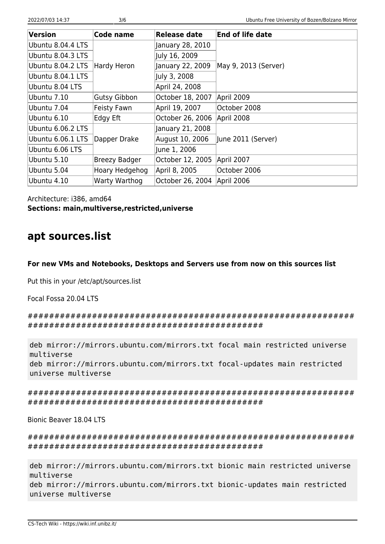| Version           | Code name            | <b>Release date</b> | <b>End of life date</b> |
|-------------------|----------------------|---------------------|-------------------------|
| Ubuntu 8.04.4 LTS |                      | January 28, 2010    |                         |
| Ubuntu 8.04.3 LTS |                      | July 16, 2009       |                         |
| Ubuntu 8.04.2 LTS | Hardy Heron          | January 22, 2009    | May 9, 2013 (Server)    |
| Ubuntu 8.04.1 LTS |                      | July 3, 2008        |                         |
| Ubuntu 8.04 LTS   |                      | April 24, 2008      |                         |
| Ubuntu 7.10       | Gutsy Gibbon         | October 18, 2007    | April 2009              |
| Ubuntu 7.04       | Feisty Fawn          | April 19, 2007      | October 2008            |
| Ubuntu 6.10       | <b>Edgy Eft</b>      | October 26, 2006    | April 2008              |
| Ubuntu 6.06.2 LTS |                      | January 21, 2008    |                         |
| Ubuntu 6.06.1 LTS | Dapper Drake         | August 10, 2006     | June 2011 (Server)      |
| Ubuntu 6.06 LTS   |                      | June 1, 2006        |                         |
| Ubuntu 5.10       | <b>Breezy Badger</b> | October 12, 2005    | April 2007              |
| Ubuntu 5.04       | Hoary Hedgehog       | April 8, 2005       | October 2006            |
| Ubuntu 4.10       | Warty Warthog        | October 26, 2004    | April 2006              |

Architecture: i386, amd64 **Sections: main,multiverse,restricted,universe**

## **apt sources.list**

**For new VMs and Notebooks, Desktops and Servers use from now on this sources list**

Put this in your /etc/apt/sources.list

Focal Fossa 20.04 LTS

############################################################# ############################################

```
deb mirror://mirrors.ubuntu.com/mirrors.txt focal main restricted universe
multiverse
deb mirror://mirrors.ubuntu.com/mirrors.txt focal-updates main restricted
universe multiverse
```
############################################################# ############################################

Bionic Beaver 18.04 LTS

############################################################# ############################################

```
deb mirror://mirrors.ubuntu.com/mirrors.txt bionic main restricted universe
multiverse
deb mirror://mirrors.ubuntu.com/mirrors.txt bionic-updates main restricted
universe multiverse
```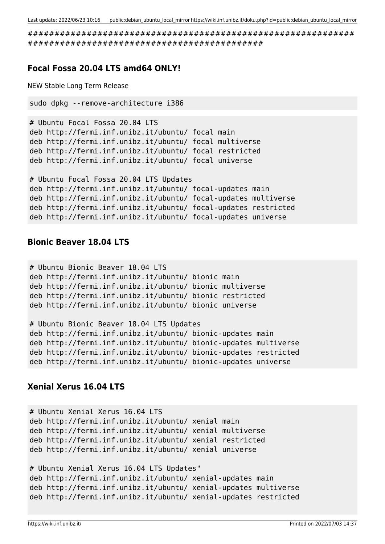############################################################# ############################################

#### **Focal Fossa 20.04 LTS amd64 ONLY!**

NEW Stable Long Term Release

```
sudo dpkg --remove-architecture i386
```

```
# Ubuntu Focal Fossa 20.04 LTS
deb http://fermi.inf.unibz.it/ubuntu/ focal main
deb http://fermi.inf.unibz.it/ubuntu/ focal multiverse
deb http://fermi.inf.unibz.it/ubuntu/ focal restricted
deb http://fermi.inf.unibz.it/ubuntu/ focal universe
```

```
# Ubuntu Focal Fossa 20.04 LTS Updates
deb http://fermi.inf.unibz.it/ubuntu/ focal-updates main
deb http://fermi.inf.unibz.it/ubuntu/ focal-updates multiverse
deb http://fermi.inf.unibz.it/ubuntu/ focal-updates restricted
deb http://fermi.inf.unibz.it/ubuntu/ focal-updates universe
```
#### **Bionic Beaver 18.04 LTS**

```
# Ubuntu Bionic Beaver 18.04 LTS
deb http://fermi.inf.unibz.it/ubuntu/ bionic main
deb http://fermi.inf.unibz.it/ubuntu/ bionic multiverse
deb http://fermi.inf.unibz.it/ubuntu/ bionic restricted
deb http://fermi.inf.unibz.it/ubuntu/ bionic universe
# Ubuntu Bionic Beaver 18.04 LTS Updates
deb http://fermi.inf.unibz.it/ubuntu/ bionic-updates main
deb http://fermi.inf.unibz.it/ubuntu/ bionic-updates multiverse
```
deb http://fermi.inf.unibz.it/ubuntu/ bionic-updates restricted deb http://fermi.inf.unibz.it/ubuntu/ bionic-updates universe

#### **Xenial Xerus 16.04 LTS**

```
# Ubuntu Xenial Xerus 16.04 LTS
deb http://fermi.inf.unibz.it/ubuntu/ xenial main
deb http://fermi.inf.unibz.it/ubuntu/ xenial multiverse
deb http://fermi.inf.unibz.it/ubuntu/ xenial restricted
deb http://fermi.inf.unibz.it/ubuntu/ xenial universe
# Ubuntu Xenial Xerus 16.04 LTS Updates"
deb http://fermi.inf.unibz.it/ubuntu/ xenial-updates main
deb http://fermi.inf.unibz.it/ubuntu/ xenial-updates multiverse
```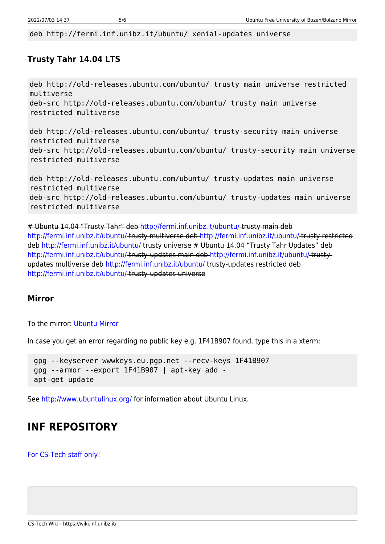deb http://fermi.inf.unibz.it/ubuntu/ xenial-updates universe

### **Trusty Tahr 14.04 LTS**

deb http://old-releases.ubuntu.com/ubuntu/ trusty main universe restricted multiverse deb-src http://old-releases.ubuntu.com/ubuntu/ trusty main universe restricted multiverse deb http://old-releases.ubuntu.com/ubuntu/ trusty-security main universe restricted multiverse deb-src http://old-releases.ubuntu.com/ubuntu/ trusty-security main universe restricted multiverse deb http://old-releases.ubuntu.com/ubuntu/ trusty-updates main universe

```
restricted multiverse
deb-src http://old-releases.ubuntu.com/ubuntu/ trusty-updates main universe
restricted multiverse
```
# Ubuntu 14.04 "Trusty Tahr" deb <http://fermi.inf.unibz.it/ubuntu/> trusty main deb <http://fermi.inf.unibz.it/ubuntu/> trusty multiverse deb<http://fermi.inf.unibz.it/ubuntu/>trusty restricted deb<http://fermi.inf.unibz.it/ubuntu/>trusty universe # Ubuntu 14.04 "Trusty Tahr Updates" deb <http://fermi.inf.unibz.it/ubuntu/> trusty-updates main deb <http://fermi.inf.unibz.it/ubuntu/> trustyupdates multiverse deb<http://fermi.inf.unibz.it/ubuntu/>trusty-updates restricted deb <http://fermi.inf.unibz.it/ubuntu/> trusty-updates universe

### **Mirror**

To the mirror: [Ubuntu Mirror](http://fermi.inf.unibz.it/ubuntu/)

In case you get an error regarding no public key e.g. 1F41B907 found, type this in a xterm:

 gpg --keyserver wwwkeys.eu.pgp.net --recv-keys 1F41B907 gpg --armor --export 1F41B907 | apt-key add apt-get update

See<http://www.ubuntulinux.org/>for information about Ubuntu Linux.

# **INF REPOSITORY**

[For CS-Tech staff only!](https://wiki.inf.unibz.it/tech/documentation/backup/start#installing_avamar_using_inf_repository)